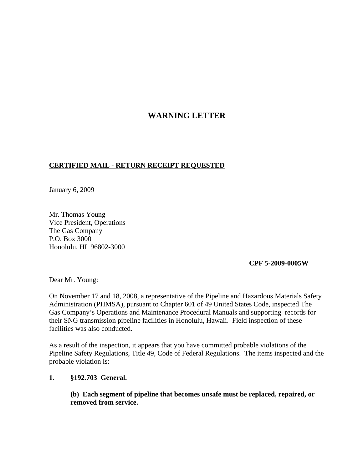## **WARNING LETTER**

## **CERTIFIED MAIL - RETURN RECEIPT REQUESTED**

January 6, 2009

Mr. Thomas Young Vice President, Operations The Gas Company P.O. Box 3000 Honolulu, HI 96802-3000

## **CPF 5-2009-0005W**

Dear Mr. Young:

On November 17 and 18, 2008, a representative of the Pipeline and Hazardous Materials Safety Administration (PHMSA), pursuant to Chapter 601 of 49 United States Code, inspected The Gas Company's Operations and Maintenance Procedural Manuals and supporting records for their SNG transmission pipeline facilities in Honolulu, Hawaii. Field inspection of these facilities was also conducted.

As a result of the inspection, it appears that you have committed probable violations of the Pipeline Safety Regulations, Title 49, Code of Federal Regulations. The items inspected and the probable violation is:

## **1. §192.703 General.**

**(b) Each segment of pipeline that becomes unsafe must be replaced, repaired, or removed from service.**